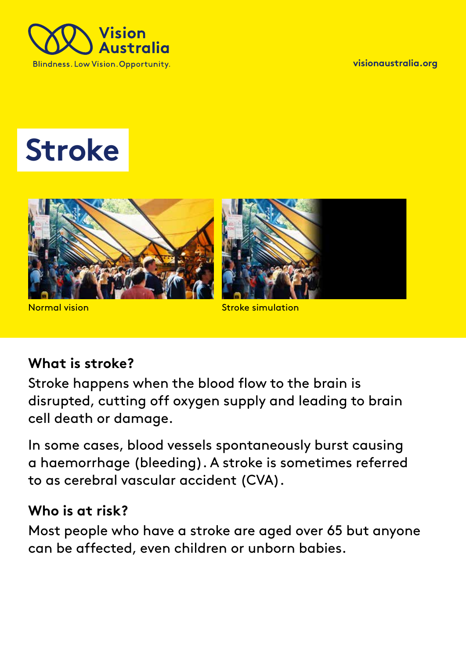

**[visionaustralia.org](http://www.visionaustralia.org/)** 

# **Stroke**



Normal vision

#### Stroke simulation

#### **What is stroke?**

Stroke happens when the blood flow to the brain is disrupted, cutting off oxygen supply and leading to brain cell death or damage.

In some cases, blood vessels spontaneously burst causing a haemorrhage (bleeding). A stroke is sometimes referred to as cerebral vascular accident (CVA).

#### **Who is at risk?**

Most people who have a stroke are aged over 65 but anyone can be affected, even children or unborn babies.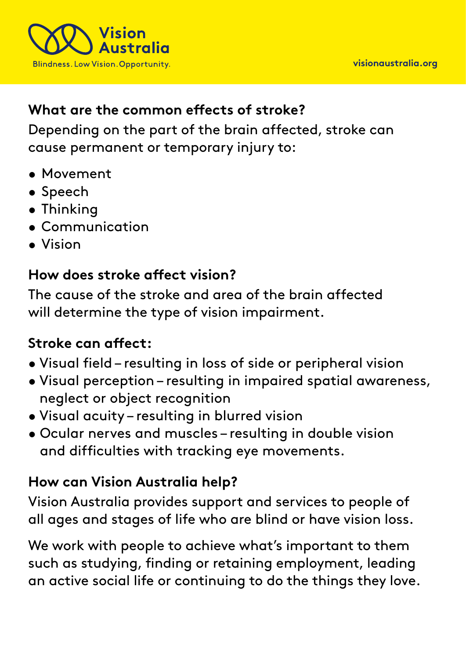

### **What are the common effects of stroke?**

Depending on the part of the brain affected, stroke can cause permanent or temporary injury to:

- Movement
- Speech
- Thinking
- Communication
- Vision

#### **How does stroke affect vision?**

The cause of the stroke and area of the brain affected will determine the type of vision impairment.

### **Stroke can affect:**

- Visual field resulting in loss of side or peripheral vision
- Visual perception resulting in impaired spatial awareness, neglect or object recognition
- Visual acuity resulting in blurred vision
- Ocular nerves and muscles resulting in double vision and difficulties with tracking eye movements.

# **How can Vision Australia help?**

Vision Australia provides support and services to people of all ages and stages of life who are blind or have vision loss.

We work with people to achieve what's important to them such as studying, finding or retaining employment, leading an active social life or continuing to do the things they love.